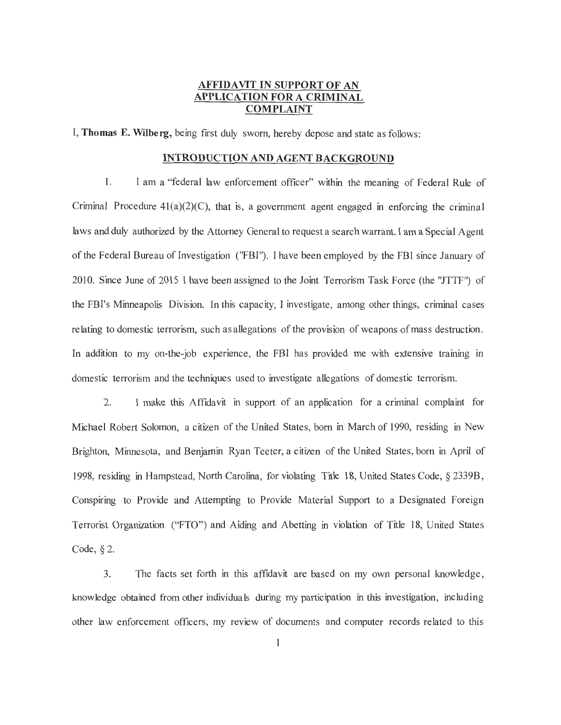### **AFFIDAVIT IN SUPPORT OF AN APPLICATION FORA CRIMINAL COMPLAINT**

I, **Thomas E. Wilberg,** being first duly sworn, hereby depose and state as follows:

#### **INTRODUCTION AND AGENT BACKGROUND**

1. I am a "federal law enforcement officer" within the meaning of Federal Rule of Criminal Procedure  $41(a)(2)(C)$ , that is, a government agent engaged in enforcing the criminal laws and duly authorized by the Attorney General to request a search warrant. I am a Special Agent of the Federal Bureau of Investigation ("FBI"). I have been employed by the FBI since January of 2010. Since June of 2015 I have been assigned to the Joint Terrorism Task Force (the "JTTF") of the FBI's Minneapolis Division. In this capacity, I investigate, among other things, criminal cases relating to domestic terrorism, such as allegations of the provision of weapons of mass destruction. In addition to my on-the-job experience, the FBI has provided me with extensive training in domestic terrorism and the techniques used to investigate allegations of domestic terrorism.

2. I make this Affidavit in support of an application for a criminal complaint for Michael Robert Solomon, a citizen of the United States, born in March of 1990, residing in New Brighton, Minnesota, and Benjamin Ryan Teeter, a citizen of the United States, born in April of 1998, residing in Hampstead, North Carolina, for violating Title 18, United States Code, § 2339B , Conspiring to Provide and Attempting to Provide Material Support to a Designated Foreign Terrorist Organization ("PTO") and Aiding and Abetting in violation of Title 18, United States Code,§ 2.

3. The facts set forth in this affidavit are based on my own personal knowledge, knowledge obtained from other individuals during my participation in this investigation, including other law enforcement officers, my review of documents and computer records related to this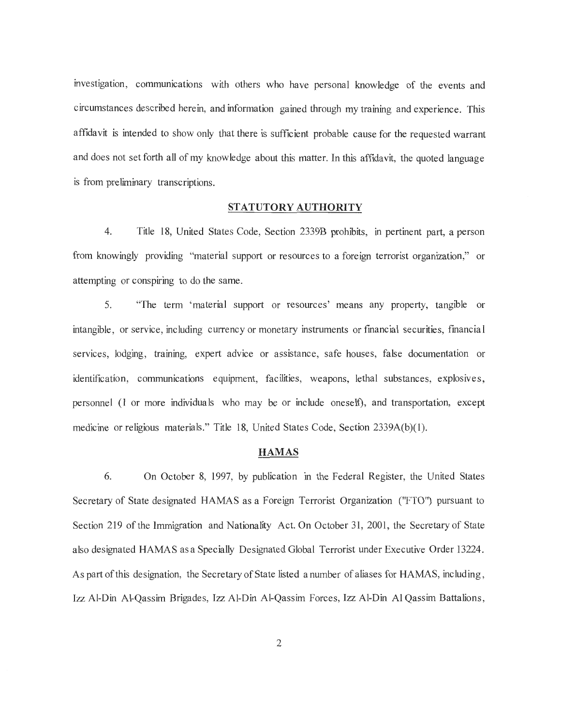investigation, communications with others who have personal knowledge of the events and circumstances described herein, and information gained through my training and experience. This affidavit is intended to show only that there is sufficient probable cause for the requested warrant and does not set forth all of my knowledge about this matter. In this affidavit, the quoted language is from preliminary transcriptions.

#### **STATUTORY AUTHORITY**

4. Title 18, United States Code, Section 2339B prohibits, in pertinent part, a person from knowingly providing "material support or resources to a foreign terrorist organization," or attempting or conspiring to do the same.

5. "The term 'material support or resources' means any property, tangible or intangible , or service, including currency or monetary instruments or fmancial securities, fmancial services, lodging, training, expert advice or assistance , safe houses, false documentation or identification, communications equipment, facilities, weapons, lethal substances, explosives, personnel (1 or more individuals who may be or include oneself), and transportation, except medicine or religious materials." Title 18, United States Code, Section 2339A(b)(1).

#### **HAMAS**

6. On October 8, 1997, by publication in the Federal Register, the United States Secretary of State designated HAMAS as a Foreign Terrorist Organization ("FTO") pursuant to Section 219 of the Immigration and Nationality Act. On October 31, 2001, the Secretary of State also designated HAMAS as a Specially Designated Global Terrorist under Executive Order 13224. As part of this designation, the Secretary of State listed a number of aliases for HAMAS, including , Izz Al-Din Al-Qassim Brigades, Izz Al-Din AI-Qassim Forces, Izz Al-Din Al Qassim Battalions,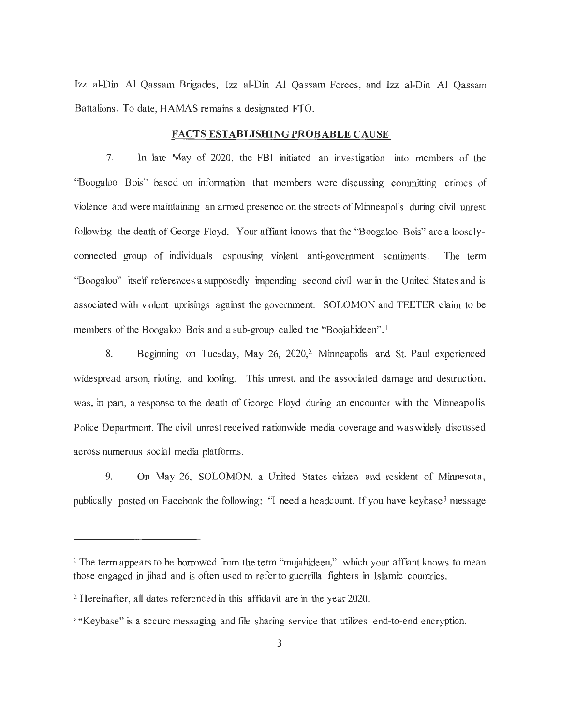Izz al-Din Al Qassam Brigades, Izz al-Din AI Qassam Forces, and Izz al-Din AI Qassam Battalions. To date, HAMAS remains a designated FTO.

#### **FACTS ESTABLISHING PROBABLE CAUSE**

7. In late May of 2020, the FBI initiated an investigation into members of the "Boogaloo Bois" based on information that members were discussing committing crimes of violence and were maintaining an armed presence on the streets of Minneapolis during civil unrest following the death of George Floyd. Your affiant knows that the "Boogaloo Bois" are a looselyconnected group of individuals espousing violent anti-government sentiments. The term ''Boogaloo" itself references a supposedly impending second civil war in the United States and is associated with violent uprisings against the government. SOLOMON and TEETER claim to be members of the Boogaloo Bois and a sub-group called the "Boojahideen".<sup>1</sup>

8. Beginning on Tuesday, May 26, 2020, 2 Minneapolis and St. Paul experienced widespread arson, rioting, and looting. This unrest, and the associated damage and destruction, was, in part, a response to the death of George Floyd during an encounter with the Minneapolis Police Department. The civil unrest received nationwide media coverage and was widely discussed across numerous social media platforms.

9. On May 26, SOLOMON, a United States citizen and resident of Minnesota, publically posted on Facebook the following: "I need a headcount. If you have keybase<sup>3</sup> message

<sup>&</sup>lt;sup>1</sup> The term appears to be borrowed from the term "mujahideen," which your affiant knows to mean those engaged in jihad and is often used to refer to guerrilla fighters in Islamic countries.

<sup>2</sup>Hereinafter, all dates referenced in this affidavit are in the year 2020.

<sup>&</sup>lt;sup>3</sup> "Keybase" is a secure messaging and file sharing service that utilizes end-to-end encryption.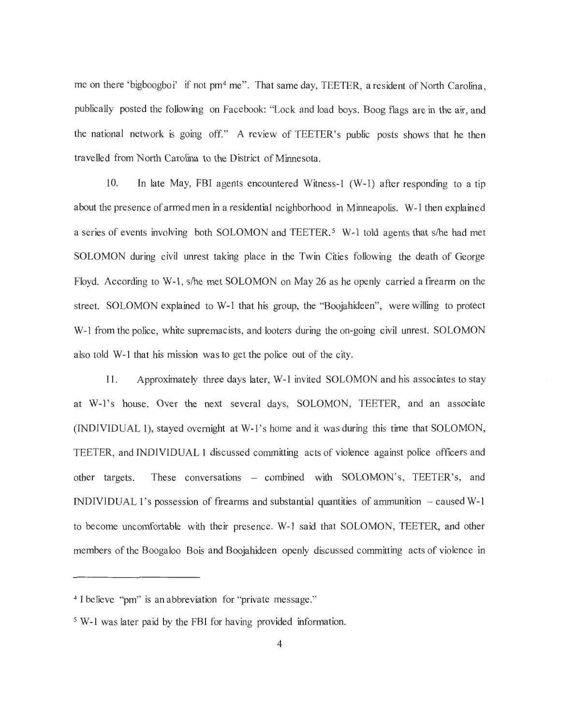me on there 'bigboogboi' if not pm<sup>4</sup> me". That same day, TEETER, a resident of North Carolina, publically posted the following on Facebook: ''Lock and load boys. Boog flags are in the air, and the national network is going off." A review of TEETER's public posts shows that he then travelled from North Carolina to the District of Minnesota.

10. In late May, FBI agents encountered Witness-I (W-1) after responding to a tip about the presence of armed men in a residential neighborhood in Minneapolis. W-1 then explained a series of events involving both SOLOMON and TEETER.<sup>5</sup> W-1 told agents that s/he had met SOLOMON during civil unrest taking place in the Twin Cities following the death of George Floyd. According to W-1 , s/he met SOLOMON on May 26 as he openly carried a firearm on the street. SOLOMON explained to W-1 that his group, the "Boojahideen", were willing to protect W-1 from the police, white supremacists, and looters during the on-going civil unrest. SOLOMON also told W-1 that his mission was to get the police out of the city.

11. Approximately three days later, W-1 invited SOLOMON and his associates to stay at W-1 's house . Over the next several days, SOLOMON, TEETER, and an associate (INDIVIDUAL 1), stayed overnight at W-l's home and it was during this time that SOLOMON, TEETER, and INDIVIDUAL 1 discussed committing acts of violence against police officers and other targets. These conversations - combined with SOLOMON's, TEETER's, and INDIVIDUAL 1's possession of firearms and substantial quantities of ammunition  $-$  caused W-1 to become uncomfortable with their presence. W-1 said that SOLOMON, TEETER, and other members of the Boogaloo Bois and Boojahideen openly discussed committing acts of violence in

<sup>&</sup>lt;sup>4</sup> I believe "pm" is an abbreviation for "private message."

<sup>5</sup> W-1 was later paid by the FBI for having provided information.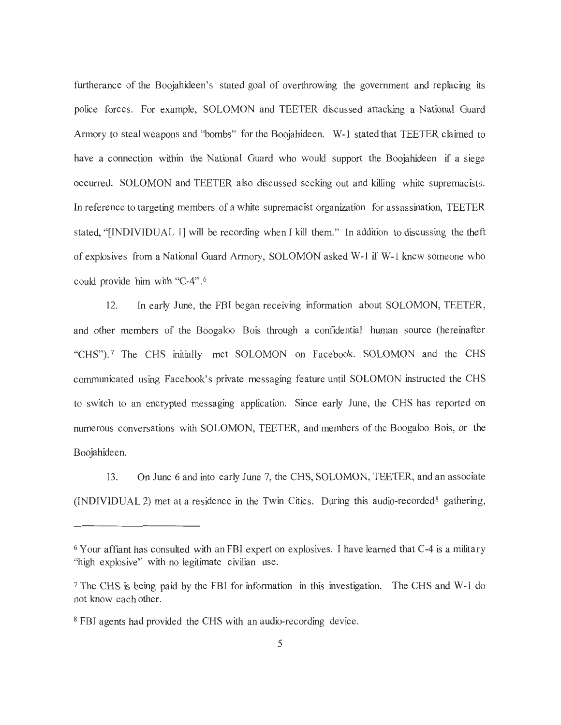furtherance of the Boojahideen's stated goal of overthrowing the government and replacing its police forces. For example, SOLOMON and TEETER discussed attacking a National Guard Armory to steal weapons and "bombs" for the Boojahideen. W-1 stated that TEETER claimed to have a connection within the National Guard who would support the Boojahideen if a siege occurred. SOLOMON and TEETER also discussed seeking out and killing white supremacists. In reference to targeting members of a white supremacist organization for assassination, TEETER stated, "[INDIVIDUAL 1] will be recording when I kill them." In addition to discussing the theft of explosives from a National Guard Armory, SOLOMON asked W-1 if W-1 knew someone who could provide him with "C-4". 6

12. In early June, the FBI began receiving information about SOLOMON, TEETER, and other members of the Boogaloo Bois through a confidential human source (hereinafter "CHS").<sup>7</sup> The CHS initially met SOLOMON on Facebook. SOLOMON and the CHS communicated using Facebook's private messaging feature until SOLOMON instructed the CHS to switch to an encrypted messaging application. Since early June, the CHS has reported on numerous conversations with SOLOMON, TEETER, and members of the Boogaloo Bois, or the Boojahideen.

13. On June 6 and into early June 7, the CHS, SOLOMON, TEETER, and an associate  $(INDIVIDUAL 2)$  met at a residence in the Twin Cities. During this audio-recorded<sup>8</sup> gathering,

<sup>&</sup>lt;sup>6</sup> Your affiant has consulted with an FBI expert on explosives. I have learned that C-4 is a military "high explosive" with no legitimate civilian use.

<sup>7</sup> The CHS is being paid by the FBI for information in this investigation. The CHS and W-1 do not know each other.

<sup>8</sup> FBI agents had provided the CHS with an audio-recording device .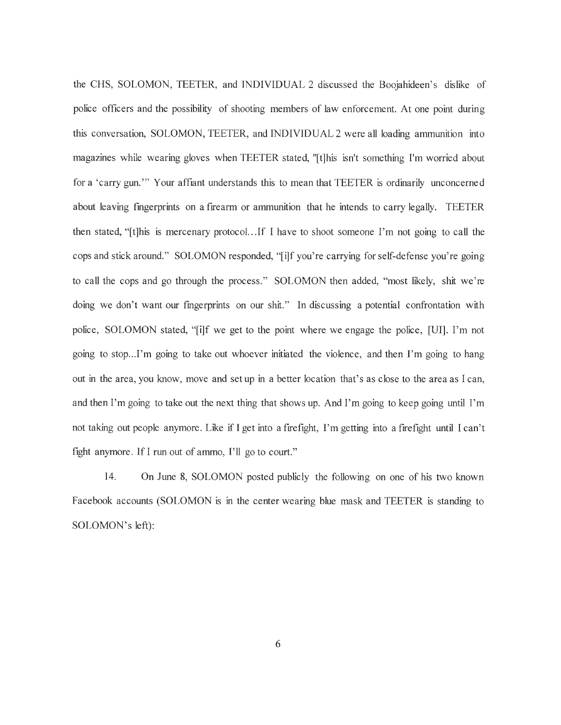the CHS, SOLOMON, TEETER, and INDIVIDUAL 2 discussed the Boojahideen's dislike of police officers and the possibility of shooting members of law enforcement. At one point during this conversation, SOLOMON, TEETER, and INDIVIDUAL 2 were all loading ammunition into magazines while wearing gloves when TEETER stated, "[t]his isn't something I'm worried about for a 'carry gun. "' Your affiant understands this to mean that TEETER is ordinarily unconcerned about leaving fmgerprints on a firearm or ammunition that he intends to carry legally. TEETER then stated, "[t]his is mercenary protocol. . .If I have to shoot someone I'm not going to call the cops and stick around." SOLOMON responded, "[i]f you're carrying for self-defense you're going to call the cops and go through the process." SOLOMON then added, "most likely, shit we 're doing we don't want our fingerprints on our shit." In discussing a potential confrontation with police, SOLOMON stated, "[i]f we get to the point where we engage the police, [UI]. I'm not going to stop...I'm going to take out whoever initiated the violence, and then I'm going to hang out in the area, you know, move and set up in a better location that's as close to the area as I can, and then I'm going to take out the next thing that shows up. And I'm going to keep going until I'm not taking out people anymore. Like if I get into a firefight, I'm getting into a firefight until I can't fight anymore. If I run out of ammo,  $\Gamma$ ll go to court."

14. On June 8, SOLOMON posted publicly the following on one of his two known Facebook accounts (SOLOMON is in the center wearing blue mask and TEETER is standing to SOLOMON's left):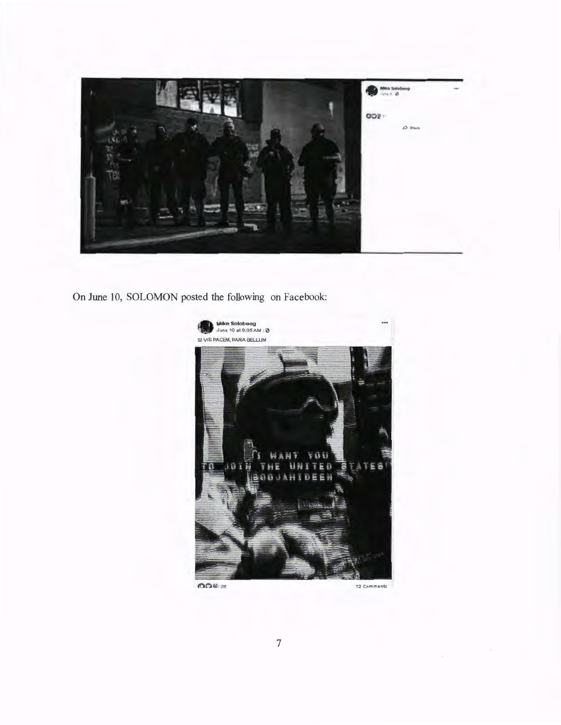

On June 10, SOLOMON posted the following on Facebook:



 $0042828$ 

12 Comments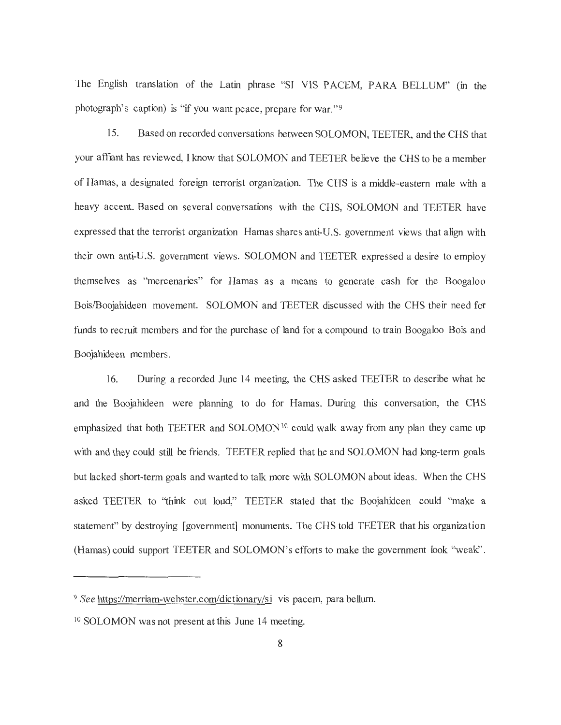The English translation of the Latin phrase "SI VIS PACEM, PARA BELLUM" (in the photograph's caption) is "if you want peace, prepare for war."<sup>9</sup>

15. Based on recorded conversations between SOLOMON, TEETER, and the CHS that your affiant has reviewed, I know that SOLOMON and TEETER believe the CHS to be a member of Barnas, a designated foreign terrorist organization. The CHS is a middle-eastern male with a heavy accent. Based on several conversations with the CHS, SOLOMON and TEETER have expressed that the terrorist organization Hamas shares anti-U.S. government views that align with their own anti-U.S. government views. SOLOMON and TEETER expressed a desire to employ themselves as "mercenaries" for Hamas as a means to generate cash for the Boogaloo Bois/Boojahideen movement. SOLOMON and TEETER discussed with the CHS their need for funds to recruit members and for the purchase of land for a compound to train Boogaloo Bois and Boojahideen members.

16. During a recorded June 14 meeting, the CHS asked TEETER to describe what he and the Boojahideen were planning to do for Barnas. During this conversation, the CHS emphasized that both TEETER and SOLOMON<sup>10</sup> could walk away from any plan they came up with and they could still be friends. TEETER replied that he and SOLOMON had long-term goals but lacked short-term goals and wanted to talk more with SOLOMON about ideas. When the CHS asked TEETER to 'think out loud," TEETER stated that the Boojahideen could "make a statement" by destroying [government] monuments. The CHS told TEETER that his organization (Barnas) could support TEETER and SOLOMON's efforts to make the government look ''weak".

<sup>&</sup>lt;sup>9</sup> See https://merriam-webster.com/dictionary/si vis pacem, para bellum.

<sup>10</sup> SOLOMON was not present at this June 14 meeting.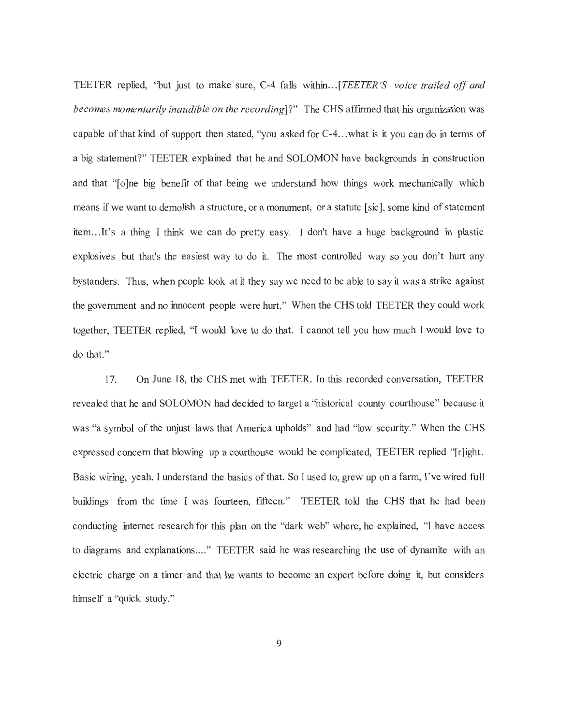TEETER replied, ''but just to make sure, C-4 falls within ... *[TEETER* 'S *voice trailed off and becomes momentarily inaudible on the recording*]?" The CHS affirmed that his organization was capable of that kind of support then stated, ''you asked for C-4 ... what is it you can do in terms of a big statement?" TEETER explained that he and SOLOMON have backgrounds in construction and that "[o]ne big benefit of that being we understand how things work mechanically which means if we want to demolish a structure, or a monument, or a statute [sic], some kind of statement item .. .It's a thing I think we can do pretty easy. I don't have a huge background in plastic explosives but that's the easiest way to do it. The most controlled way so you don't hurt any bystanders. Thus, when people look at it they say we need to be able to say it was a strike against the government and no innocent people were hurt. " When the CHS told TEETER they could work together, TEETER replied, "I would love to do that. I cannot tell you how much I would love to do that."

17. On June 18, the CHS met with TEETER. In this recorded conversation, TEETER revealed that he and SOLOMON had decided to target a "historical county courthouse" because it was "a symbol of the unjust laws that America upholds" and had "low security." When the CHS expressed concern that blowing up a courthouse would be complicated, TEETER replied "[r]ight. Basic wiring, yeah. I understand the basics of that. So I used to, grew up on a farm, I've wired full buildings from the time I was fourteen, fifteen." TEETER told the CHS that he had been conducting internet research for this plan on the "dark web" where, he explained, "I have access to diagrams and explanations...." TEETER said he was researching the use of dynamite with an electric charge on a timer and that he wants to become an expert before doing it, but considers himself a "quick study."

9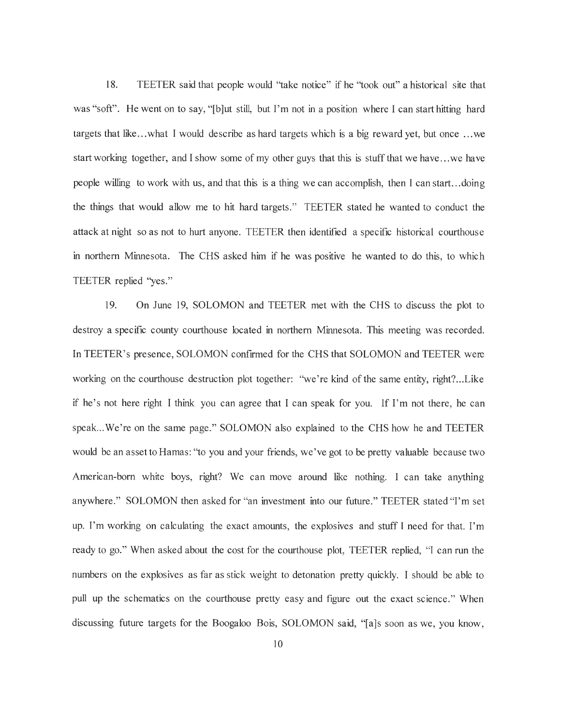18. TEETER said that people would "take notice" if he "took out" a historical site that was "soft". He went on to say, "[b]ut still, but I'm not in a position where I can start hitting hard targets that like ... what I would describe as hard targets which is a big reward yet, but once ... we start working together, and I show some of my other guys that this is stuff that we have ... we have people willing to work with us, and that this is a thing we can accomplish, then I can start ... doing the things that would allow me to hit hard targets." TEETER stated he wanted to conduct the attack at night so as not to hurt anyone. TEETER then identified a specific historical courthouse in northern Minnesota. The CHS asked him if he was positive he wanted to do this, to which TEETER replied "yes."

19. On June 19, SOLOMON and TEETER met with the CHS to discuss the plot to destroy a specific county courthouse located in northern Minnesota. This meeting was recorded. In TEETER's presence, SOLOMON confirmed for the CHS that SOLOMON and TEETER were working on the courthouse destruction plot together: "we're kind of the same entity, right?...Like if he's not here right I think you can agree that I can speak for you. If I'm not there, he can speak. .. We 're on the same page." SOLOMON also explained to the CHS how he and TEETER would be an asset to Hamas: "to you and your friends, we've got to be pretty valuable because two American-born white boys, right? We can move around like nothing. I can take anything anywhere." SOLOMON then asked for "an investment into our future." TEETER stated "I'm set up. I'm working on calculating the exact amounts, the explosives and stuff I need for that. I'm ready to go." When asked about the cost for the courthouse plot, TEETER replied, "I can run the numbers on the explosives as far as stick weight to detonation pretty quickly. I should be able to pull up the schematics on the courthouse pretty easy and figure out the exact science." When discussing future targets for the Boogaloo Bois, SOLOMON said, "[a]s soon as we, you know,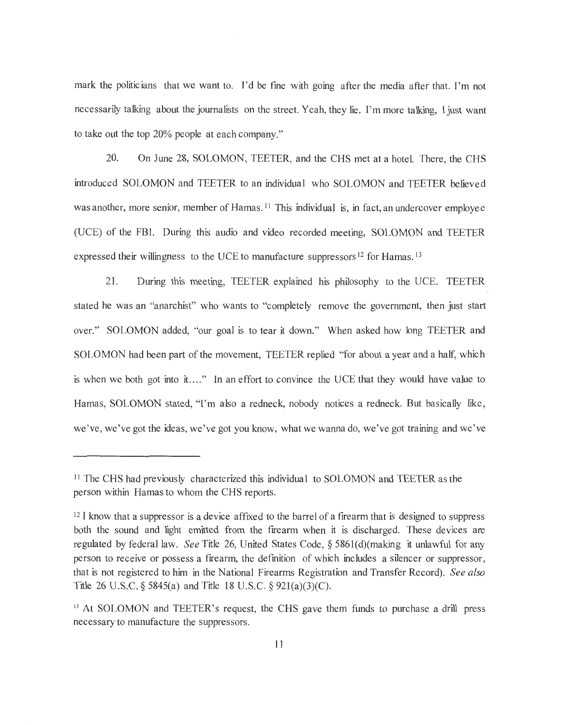mark the politicians that we want to. I'd be fine with going after the media after that. I'm not necessarily talking about the journalists on the street. Yeah, they lie. I'm more talking, I just want to take out the top 20% people at each company."

20. On June 28, SOLOMON, TEETER, and the CHS met at a hotel. There, the CHS introduced SOLOMON and TEETER to an individual who SOLOMON and TEETER believed was another, more senior, member of Hamas.<sup>11</sup> This individual is, in fact, an undercover employee (UCE) of the FBI. During this audio and video recorded meeting, SOLOMON and TEETER expressed their willingness to the UCE to manufacture suppressors<sup>12</sup> for Hamas.<sup>13</sup>

21. During this meeting, TEETER explained his philosophy to the UCE. TEETER stated he was an "anarchist" who wants to "completely remove the government, then just start over." SOLOMON added, "our goal is to tear it down." When asked how long TEETER and SOLOMON had been part of the movement, TEETER replied "for about a year and a half, which is when we both got into it...." In an effort to convince the UCE that they would have value to Hamas, SOLOMON stated, "I'm also a redneck, nobody notices a redneck. But basically like, we've, we've got the ideas, we've got you know, what we wanna do, we've got training and we've

<sup>&</sup>lt;sup>11</sup> The CHS had previously characterized this individual to SOLOMON and TEETER as the person within Hamas to whom the CHS reports.

<sup>&</sup>lt;sup>12</sup> I know that a suppressor is a device affixed to the barrel of a firearm that is designed to suppress both the sound and light emitted from the firearm when it is discharged. These devices are regulated by federal law. *See* Title 26, United States Code, § 5861(d)(making it unlawful for any person to receive or possess a firearm, the defmition of which includes a silencer or suppressor, that is not registered to him in the National Firearms Registration and Transfer Record). *See also*  Title 26 U.S.C. § 5845(a) and Title 18 U.S.C. § 92l(a)(3)(C).

<sup>&</sup>lt;sup>13</sup> At SOLOMON and TEETER's request, the CHS gave them funds to purchase a drill press necessary to manufacture the suppressors.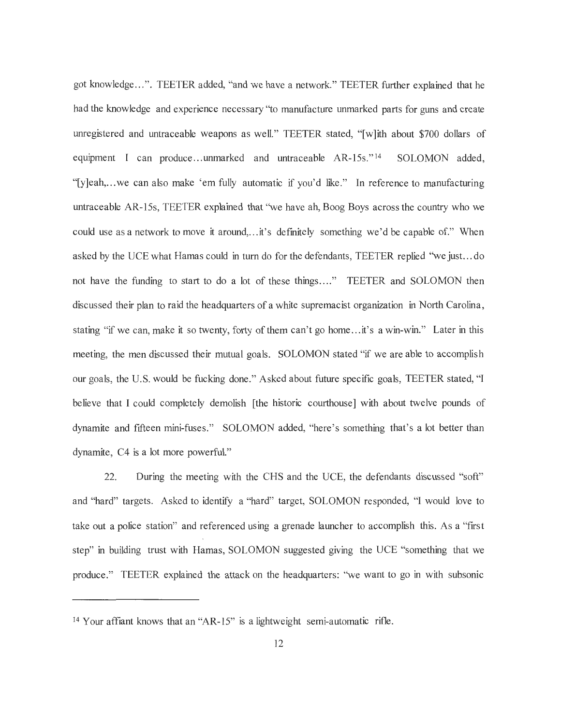got knowledge ... " . TEETER added, "and we have a network." TEETER further explained that he had the knowledge and experience necessary ''to manufacture unmarked parts for guns and create unregistered and untraceable weapons as well." TEETER stated, "[w]ith about \$700 dollars of equipment I can produce...unmarked and untraceable AR-15s."<sup>14</sup> SOLOMON added, "[y]eah,... we can also make 'em fully automatic if you'd like." In reference to manufacturing untraceable AR-15s, TEETER explained that ''we have ah, Boog Boys across the country who we could use as a network to move it around, ... it's definitely something we'd be capable of." When asked by the UCE what Hamas could in tum do for the defe ndants, TEETER replied ''we just. .. do not have the funding to start to do a lot of these things...." TEETER and SOLOMON then discussed their plan to raid the headquarters of a white supremacist organization in North Carolina, stating "if we can, make it so twenty, forty of them can't go home... it's a win-win." Later in this meeting, the men discussed their mutual goals. SOLOMON stated "if we are able to accomplish our goals, the U.S. would be fucking done." Asked about future specific goals, TEETER stated, "I believe that I could completely demolish [the historic courthouse] with about twelve pounds of dynamite and fifteen mini-fuses." SOLOMON added, "here 's something that's a lot better than dynamite, C4 is a lot more powerful."

22. During the meeting with the CHS and the UCE, the defendants discussed "soft" and "hard" targets. Asked to identify a "hard" target, SOLOMON responded, "I would love to take out a police station" and referenced using a grenade launcher to accomplish this. As a "first step" in building trust with Hamas, SOLOMON suggested giving the UCE "something that we produce." TEETER explained the attack on the headquarters: ''we want to go in with subsonic

<sup>14</sup>Your affiant knows that an "AR-15" is a lightweight semi-automatic rifle.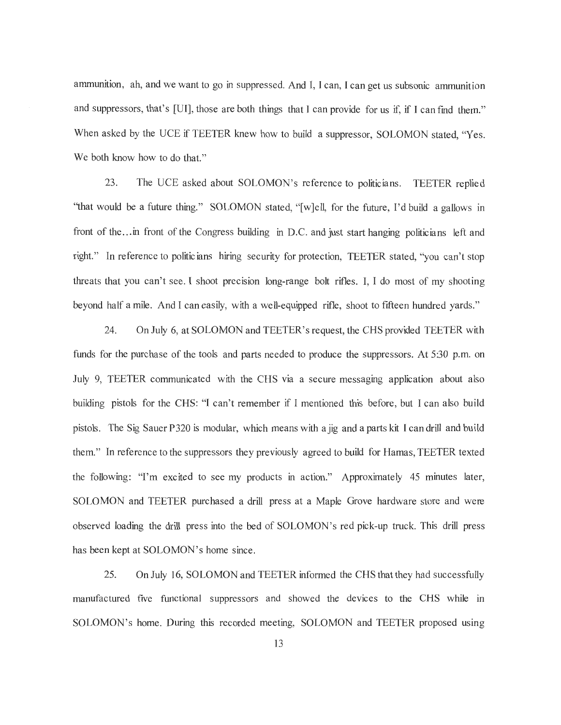ammunition , ah, and we want to go in suppressed. And I, I can, I can get us subsonic ammunition and suppressors, that's [UI], those are both things that I can provide for us if, if I can find them." When asked by the UCE if TEETER knew how to build a suppressor, SOLOMON stated, "Yes. We both know how to do that."

23. The UCE asked about SOLOMON's reference to politicians. TEETER replied "that would be a future thing." SOLOMON stated, "[w]ell, for the future, I'd build a gallows in front of the... in front of the Congress building in D.C. and just start hanging politicians left and right." In reference to politicians hiring security for protection, TEETER stated, "you can't stop threats that you can't see. I shoot precision long-range bolt rifles. I, I do most of my shooting beyond half a mile. And I can easily, with a well-equipped rifle, shoot to fifteen hundred yards."

24. On July 6, at SOLOMON and TEETER' s request, the CHS provided TEETER with funds for the purchase of the tools and parts needed to produce the suppressors. At 5:30 p.m. on July 9, TEETER communicated with the CHS via a secure messaging application about also building pistols for the CHS: "I can't remember if I mentioned this before, but I can also build pistols. The Sig Sauer P320 is modular, which means with a jig and a parts kit I can drill and build them. " In reference to the suppressors they previously agreed to build for Hamas, TEETER texted the following: "I'm excited to see my products in action. " Approximately 45 minutes later, SOLOMON and TEETER purchased a drill press at a Maple Grove hardware store and were observed loading the drill press into the bed of SOLOMON's red pick-up truck. This drill press has been kept at SOLOMON's home since.

25. On July 16, SOLOMON and TEETER informed the CHS that they had successfully manufactured five functional suppressors and showed the devices to the CHS while in SOLOMON's home. During this recorded meeting, SOLOMON and TEETER proposed using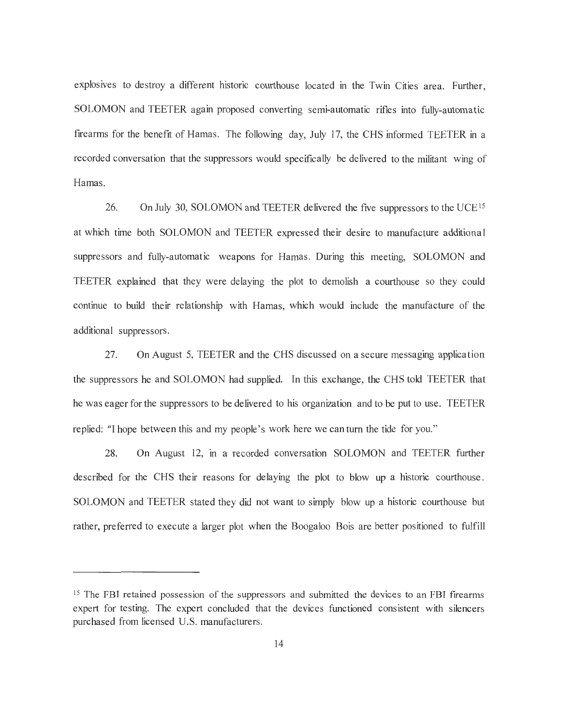explosives to destroy a different historic courthouse located in the Twin Cities area. Further, SOLOMON and TEETER again proposed converting semi-automatic rifles into fully-automatic firearms for the benefit of Hamas. The following day, July 17, the CHS informed TEETER in a recorded conversation that the suppressors would specifically be delivered to the militant wing of Hamas.

26. On July 30, SOLOMON and TEETER delivered the five suppressors to the UCE<sup>15</sup> at which time both SOLOMON and TEETER expressed their desire to manufacture additional suppressors and fully-automatic weapons for Hamas. During this meeting, SOLOMON and TEETER explained that they were delaying the plot to demolish a courthouse so they could continue to build their relationship with Hamas, which would include the manufacture of the additional suppressors.

27. On August 5, TEETER and the CHS discussed on a secure messaging application the suppressors he and SOLOMON had supplied. In this exchange, the CHS told TEETER that he was eager for the suppressors to be delivered to his organization and to be put to use. TEETER replied: "I hope between this and my people's work here we can turn the tide for you."

28. On August 12, in a recorded conversation SOLOMON and TEETER further described for the CHS their reasons for delaying the plot to blow up a historic courthouse. SOLOMON and TEETER stated they did not want to simply blow up a historic courthouse but rather, preferred to execute a larger plot when the Boogaloo Bois are better positioned to fulfill

<sup>&</sup>lt;sup>15</sup> The FBI retained possession of the suppressors and submitted the devices to an FBI firearms expert for testing. The expert concluded that the devices functioned consistent with silencers purchased from licensed U.S. manufacturers.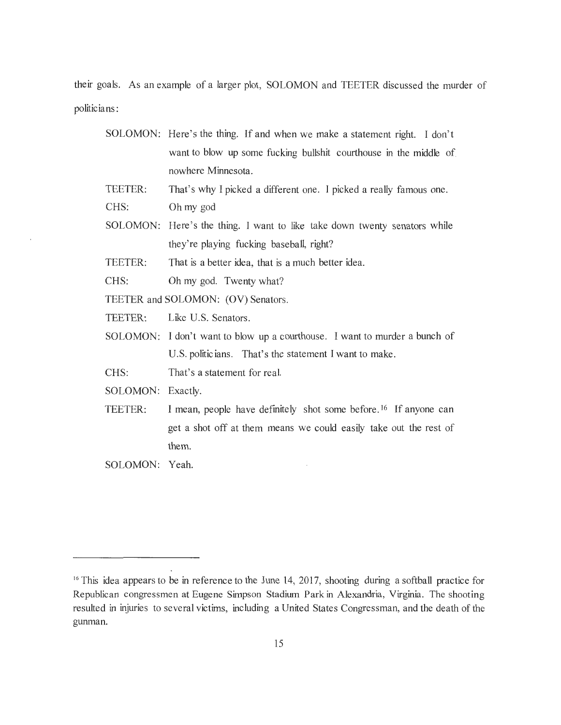their goals. As an example of a larger plot, SOLOMON and TEETER discussed the murder of politicians:

- SOLOMON: Here's the thing. If and when we make a statement right. I don't want to blow up some fucking bullshit courthouse in the middle of nowhere Minnesota.
- TEETER: CHS: That's why I picked a different one. I picked a really famous one. Oh my god
- SOLOMON: Here's the thing. I want to like take down twenty senators while they're playing fucking baseball, right?

TEETER: That is a better idea, that is a much better idea.

CHS: Oh my god. Twenty what?

TEETER and SOLOMON: (OV) Senators.

TEETER: Like U.S. Senators.

SOLOMON: I don't want to blow up a courthouse. I want to murder a bunch of U.S. politicians. That's the statement I want to make.

CHS: That's a statement for real.

SOLOMON: Exactly.

- TEETER: I mean, people have definitely shot some before. I6 If anyone can get a shot off at them means we could easily take out the rest of them.
- SOLOMON: Yeah.

<sup>&</sup>lt;sup>16</sup> This idea appears to be in reference to the June 14, 2017, shooting during a softball practice for Republican congressmen at Eugene Simpson Stadium Park in Alexandria, Virginia. The shooting resulted in injuries to several victims, including a United States Congressman, and the death of the gunman.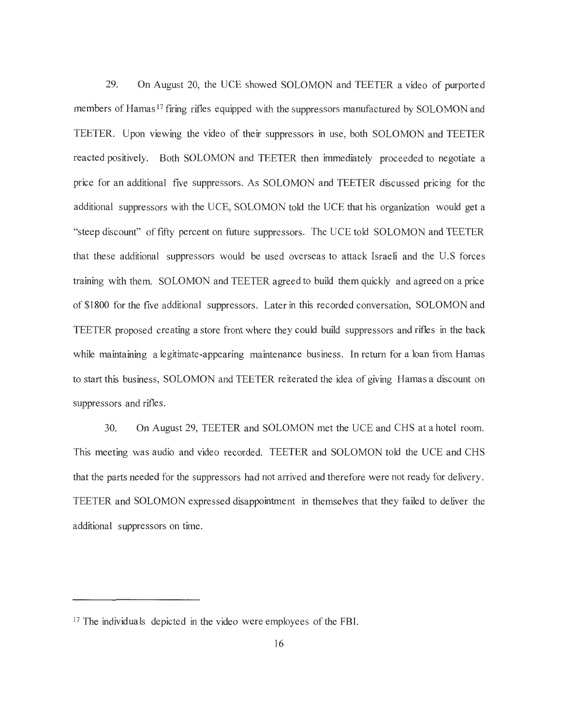29. On August 20, the UCE showed SOLOMON and TEETER a video of purported members of Hamas<sup>17</sup> firing rifles equipped with the suppressors manufactured by SOLOMON and TEETER. Upon viewing the video of their suppressors in use, both SOLOMON and TEETER reacted positively. Both SOLOMON and TEETER then immediately proceeded to negotiate a price for an additional five suppressors. As SOLOMON and TEETER discussed pricing for the additional suppressors with the UCE, SOLOMON told the UCE that his organization would get a "steep discount" of fifty percent on future suppressors. The UCE told SOLOMON and TEETER that these additional suppressors would be used overseas to attack Israeli and the U .S forces training with them. SOLOMON and TEETER agreed to build them quickly and agreed on a price of \$1800 for the five additional suppressors. Later in this recorded conversation, SOLOMON and TEETER proposed creating a store front where they could build suppressors and rifles in the back while maintaining a legitimate-appearing maintenance business. In return for a loan from Hamas to start this business, SOLOMON and TEETER reiterated the idea of giving Hamas a discount on suppressors and rifles.

30. On August 29, TEETER and SOLOMON met the UCE and CHS at a hotel room. This meeting was audio and video recorded. TEETER and SOLOMON told the UCE and CHS that the parts needed for the suppressors had not arrived and therefore were not ready for delivery. TEETER and SOLOMON expressed disappointment in themselves that they failed to deliver the additional suppressors on time.

<sup>&</sup>lt;sup>17</sup> The individuals depicted in the video were employees of the FBI.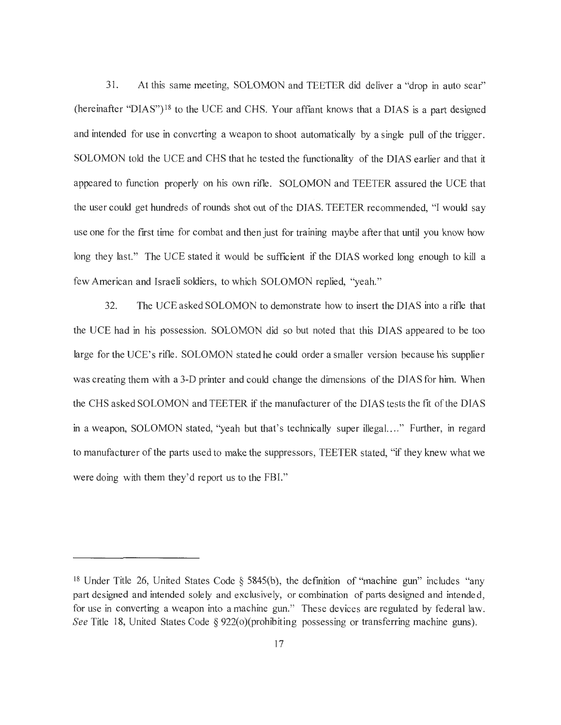31. At this same meeting, SOLOMON and TEETER did deliver a "drop in auto sear" (hereinafter "DIAS")<sup>18</sup> to the UCE and CHS. Your affiant knows that a DIAS is a part designed and intended for use in converting a weapon to shoot automatically by a single pull of the trigger. SOLOMON told the UCE and CHS that he tested the functionality of the DIAS earlier and that it appeared to function properly on his own rifle. SOLOMON and TEETER assured the UCE that the user could get hundreds of rounds shot out of the DIAS. TEETER recommended, "I would say use one for the first time for combat and then just for training maybe after that until you know how long they last." The UCE stated it would be sufficient if the DIAS worked long enough to kill a few American and Israeli soldiers, to which SOLOMON replied, "yeah."

32. The UCE asked SOLOMON to demonstrate how to insert the DIAS into a rifle that the UCE had in his possession. SOLOMON did so but noted that this DIAS appeared to be too large for the UCE's rifle. SOLOMON stated he could order a smaller version because his supplier was creating them with a 3-D printer and could change the dimensions of the DIAS for him. When the CHS asked SOLOMON and TEETER if the manufacturer of the DIAS tests the fit of the DIAS in a weapon, SOLOMON stated, "yeah but that's technically super illegal...." Further, in regard to manufacturer of the parts used to make the suppressors, TEETER stated, "if they knew what we were doing with them they'd report us to the FBI."

<sup>&</sup>lt;sup>18</sup> Under Title 26, United States Code  $\S$  5845(b), the definition of "machine gun" includes "any part designed and intended solely and exclusively, or combination of parts designed and intended, for use in converting a weapon into a machine gun." These devices are regulated by federal law. *See* Title 18, United States Code  $\S 922(0)$  (prohibiting possessing or transferring machine guns).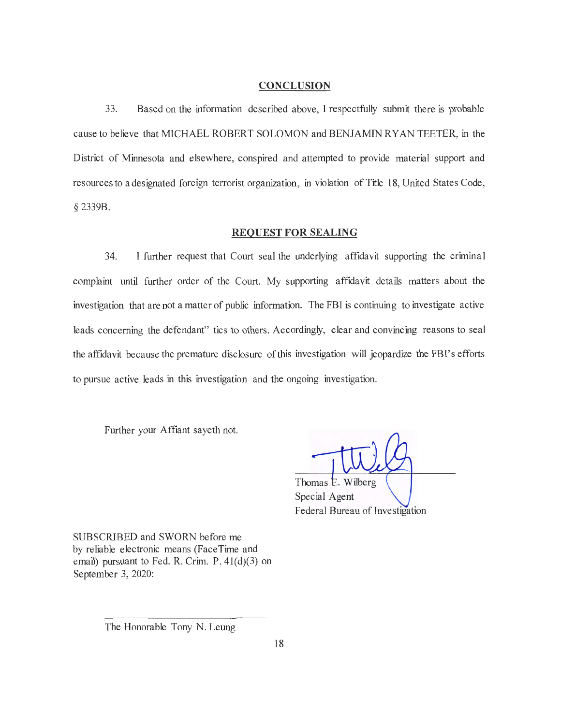#### **CONCLUSION**

33. Based on the information described above, I respectfully submit there is probable cause to believe that MICHAEL ROBERT SOLOMON and BENJAMIN RY AN TEETER, in the District of Minnesota and elsewhere, conspired and attempted to provide material support and resources to a designated foreign terrorist organization, in violation of Title 18, United States Code, § 2339B.

#### **REQUEST FOR SEALING**

34. I further request that Court seal the underlying affidavit supporting the criminal complaint until further order of the Court. My supporting affidavit details matters about the investigation that are not a matter of public information. The FBI is continuing to investigate active leads concerning the defendant' ties to others. Accordingly, clear and convincing reasons to seal the affidavit because the premature disclosure of this investigation will jeopardize the FBl's efforts to pursue active leads in this investigation and the ongoing investigation.

Further your Affiant sayeth not.

Thomas E. Wilberg Special Agent Federal Bureau of Investigation

SUBSCRIBED and SWORN before me by reliable electronic means (FaceTime and email) pursuant to Fed. R. Crim. P. 41(d)(3) on September 3, 2020:

The Honorable Tony N. Leung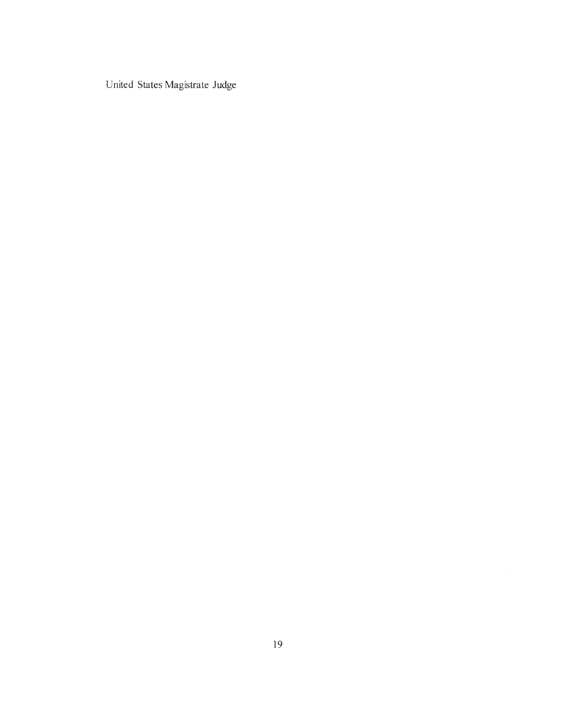United States Magistrate Judge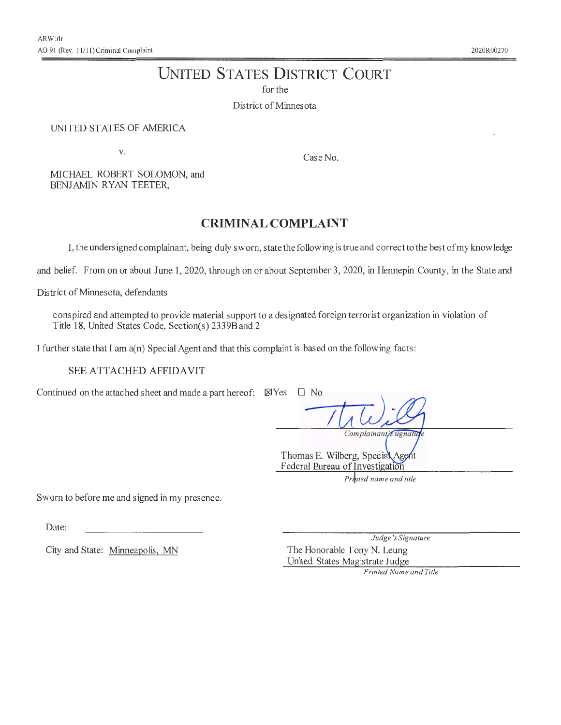# **UNITED STATES DISTRICT COURT**

for the

District of Minnesota

#### UNITED STATES OF AMERICA

V.

Case No.

MICHAEL ROBERT SOLOMON, and BENJAMIN RYAN TEETER,

# **CRIMINAL COMPLAINT**

I, the undersigned complainant, being duly sworn, state the following is true and correct to the best of my know ledge

and belief. From on or about June **1,** 2020, through on or about September 3, 2020, in Hennepin County, in the State and

District of Minnesota, defendants

conspired and attempted to provide material support to a designated foreign terrorist organization in violation of Title 18, United States Code, Section(s) 2339B and 2

I further state that I am a(n) Special Agent and that this complaint is based on the following facts:

#### SEE ATTACHED AFFIDAVIT

Continued on the attached sheet and made a part hereof:  $\boxtimes$  Yes  $\square$  No

*I*  Complainant's signatu

Thomas E. Wilberg, Special Agent Federal Bureau of Investigation

Printed name and title

Sworn to before me and signed in my presence.

Date:

City and State: Minneapolis, MN

*Judge 'sSignature*  The Honorable Tony N. Leung United States Magistrate Judge

*Printed Name and Title*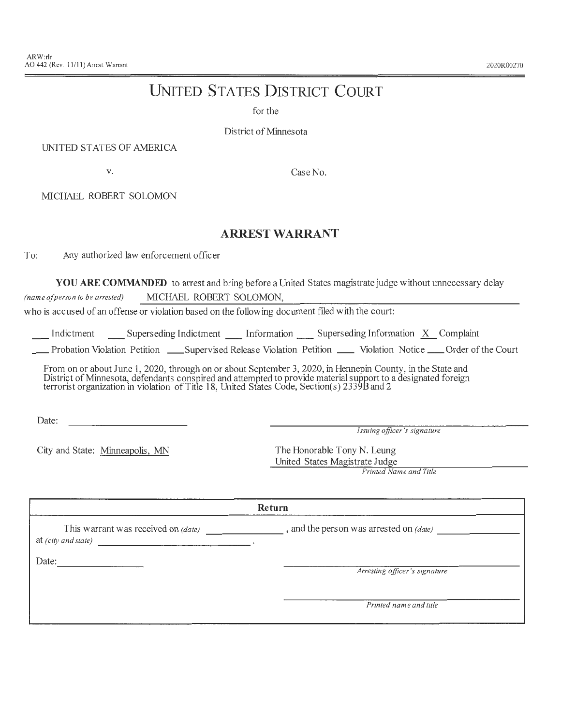#### 2020R00270

# **UNITED STATES DISTRICT COURT**

for the

District of Minnesota

#### UNITED STATES OF AMERICA

V.

Case No.

MICHAEL ROBERT SOLOMON

### **ARREST WARRANT**

To: Any authorized law enforcement officer

**YOU ARE COMMANDED** to arrest and bring before a United States magistrate judge without unnecessary delay *(name of person to be arrested)* MICHAEL ROBERT SOLOMON,

who is accused of an offense or violation based on the following document filed with the court:

Indictment Superseding Indictment Information Superseding Information *X* Complaint

\_\_ Probation Violation Petition \_\_ Supervised Release Violation Petition \_\_ Violation Notice \_\_ Order of the Court

From on or about June 1, 2020, through on or about September 3, 2020, in Hennepin County, in the State and District of Minnesota, defendants conspired and attempted to provide material support to a designated foreign terrorist organization in violation of Title 18, United States Code, Section(s) 2339B and 2

Date:

*Issuing officer's signature* 

City and State: Minneapolis, MN

the control of the control of the control of

The Honorable Tony N. Leung United States Magistrate Judge

*Printed Name and Title* 

#### **Return**

This warrant was received on *(date)*  , and the person was arrested on *(date)* ------- --------

at *(city and state)* 

Date: --------

*Arresting officer's signature* 

*Printed name and title*